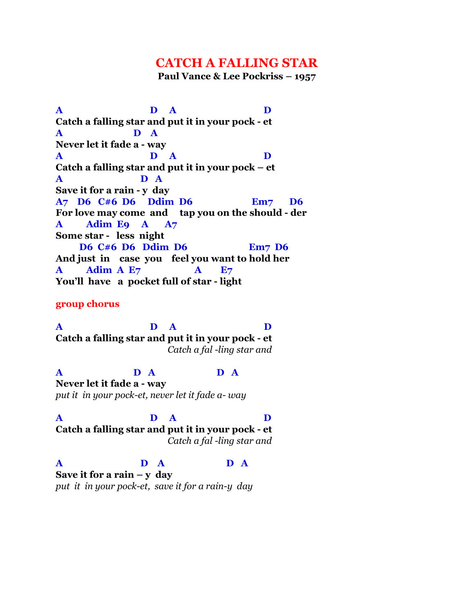## **CATCH A FALLING STAR**

**Paul Vance & Lee Pockriss – 1957**

**A D A D Catch a falling star and put it in your pock - et A D A Never let it fade a - way A D A D Catch a falling star and put it in your pock – et A D A Save it for a rain - y day A7 D6 C#6 D6 Ddim D6 Em7 D6 For love may come and tap you on the should - der A Adim E9 A A7 Some star - less night D6 C#6 D6 Ddim D6 Em7 D6 And just in case you feel you want to hold her A Adim A E7 A E7 You'll have a pocket full of star - light**

**group chorus**

**A D A D Catch a falling star and put it in your pock - et**  *Catch a fal -ling star and*

**A D A D A Never let it fade a - way** *put it in your pock-et, never let it fade a- way*

**A D A D Catch a falling star and put it in your pock - et**  *Catch a fal -ling star and*

**A D A D A**

**Save it for a rain – y day** *put it in your pock-et, save it for a rain-y day*